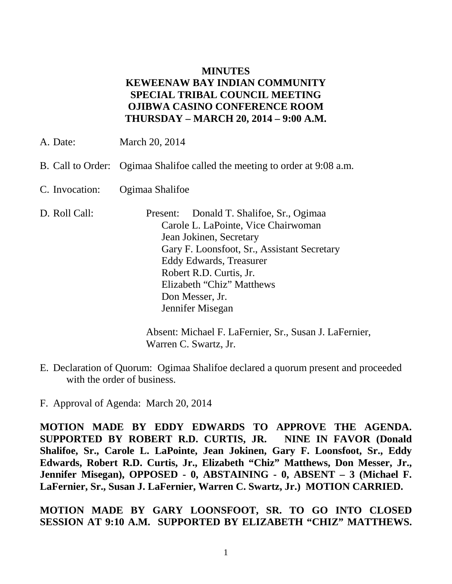## **MINUTES KEWEENAW BAY INDIAN COMMUNITY SPECIAL TRIBAL COUNCIL MEETING OJIBWA CASINO CONFERENCE ROOM THURSDAY – MARCH 20, 2014 – 9:00 A.M.**

- A. Date: March 20, 2014
- B. Call to Order: Ogimaa Shalifoe called the meeting to order at 9:08 a.m.
- C. Invocation: Ogimaa Shalifoe
- D. Roll Call: Present: Donald T. Shalifoe, Sr., Ogimaa Carole L. LaPointe, Vice Chairwoman Jean Jokinen, Secretary Gary F. Loonsfoot, Sr., Assistant Secretary Eddy Edwards, Treasurer Robert R.D. Curtis, Jr. Elizabeth "Chiz" Matthews Don Messer, Jr. Jennifer Misegan

Absent: Michael F. LaFernier, Sr., Susan J. LaFernier, Warren C. Swartz, Jr.

E. Declaration of Quorum: Ogimaa Shalifoe declared a quorum present and proceeded with the order of business.

F. Approval of Agenda: March 20, 2014

**MOTION MADE BY EDDY EDWARDS TO APPROVE THE AGENDA. SUPPORTED BY ROBERT R.D. CURTIS, JR. NINE IN FAVOR (Donald Shalifoe, Sr., Carole L. LaPointe, Jean Jokinen, Gary F. Loonsfoot, Sr., Eddy Edwards, Robert R.D. Curtis, Jr., Elizabeth "Chiz" Matthews, Don Messer, Jr., Jennifer Misegan), OPPOSED - 0, ABSTAINING - 0, ABSENT – 3 (Michael F. LaFernier, Sr., Susan J. LaFernier, Warren C. Swartz, Jr.) MOTION CARRIED.**

**MOTION MADE BY GARY LOONSFOOT, SR. TO GO INTO CLOSED SESSION AT 9:10 A.M. SUPPORTED BY ELIZABETH "CHIZ" MATTHEWS.**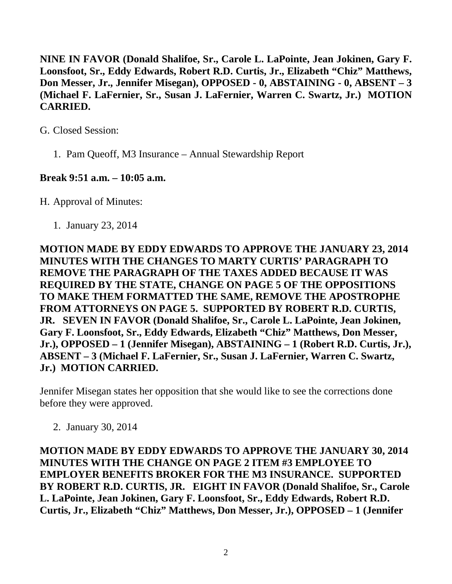**NINE IN FAVOR (Donald Shalifoe, Sr., Carole L. LaPointe, Jean Jokinen, Gary F. Loonsfoot, Sr., Eddy Edwards, Robert R.D. Curtis, Jr., Elizabeth "Chiz" Matthews, Don Messer, Jr., Jennifer Misegan), OPPOSED - 0, ABSTAINING - 0, ABSENT – 3 (Michael F. LaFernier, Sr., Susan J. LaFernier, Warren C. Swartz, Jr.) MOTION CARRIED.**

G. Closed Session:

1. Pam Queoff, M3 Insurance – Annual Stewardship Report

## **Break 9:51 a.m. – 10:05 a.m.**

H. Approval of Minutes:

1. January 23, 2014

**MOTION MADE BY EDDY EDWARDS TO APPROVE THE JANUARY 23, 2014 MINUTES WITH THE CHANGES TO MARTY CURTIS' PARAGRAPH TO REMOVE THE PARAGRAPH OF THE TAXES ADDED BECAUSE IT WAS REQUIRED BY THE STATE, CHANGE ON PAGE 5 OF THE OPPOSITIONS TO MAKE THEM FORMATTED THE SAME, REMOVE THE APOSTROPHE FROM ATTORNEYS ON PAGE 5. SUPPORTED BY ROBERT R.D. CURTIS, JR. SEVEN IN FAVOR (Donald Shalifoe, Sr., Carole L. LaPointe, Jean Jokinen, Gary F. Loonsfoot, Sr., Eddy Edwards, Elizabeth "Chiz" Matthews, Don Messer, Jr.), OPPOSED – 1 (Jennifer Misegan), ABSTAINING – 1 (Robert R.D. Curtis, Jr.), ABSENT – 3 (Michael F. LaFernier, Sr., Susan J. LaFernier, Warren C. Swartz, Jr.) MOTION CARRIED.**

Jennifer Misegan states her opposition that she would like to see the corrections done before they were approved.

2. January 30, 2014

**MOTION MADE BY EDDY EDWARDS TO APPROVE THE JANUARY 30, 2014 MINUTES WITH THE CHANGE ON PAGE 2 ITEM #3 EMPLOYEE TO EMPLOYER BENEFITS BROKER FOR THE M3 INSURANCE. SUPPORTED BY ROBERT R.D. CURTIS, JR. EIGHT IN FAVOR (Donald Shalifoe, Sr., Carole L. LaPointe, Jean Jokinen, Gary F. Loonsfoot, Sr., Eddy Edwards, Robert R.D. Curtis, Jr., Elizabeth "Chiz" Matthews, Don Messer, Jr.), OPPOSED – 1 (Jennifer**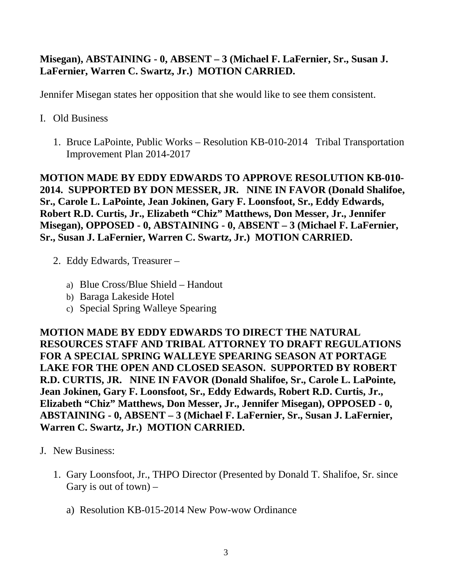## **Misegan), ABSTAINING - 0, ABSENT – 3 (Michael F. LaFernier, Sr., Susan J. LaFernier, Warren C. Swartz, Jr.) MOTION CARRIED.**

Jennifer Misegan states her opposition that she would like to see them consistent.

- I. Old Business
	- 1. Bruce LaPointe, Public Works Resolution KB-010-2014 Tribal Transportation Improvement Plan 2014-2017

**MOTION MADE BY EDDY EDWARDS TO APPROVE RESOLUTION KB-010- 2014. SUPPORTED BY DON MESSER, JR. NINE IN FAVOR (Donald Shalifoe, Sr., Carole L. LaPointe, Jean Jokinen, Gary F. Loonsfoot, Sr., Eddy Edwards, Robert R.D. Curtis, Jr., Elizabeth "Chiz" Matthews, Don Messer, Jr., Jennifer Misegan), OPPOSED - 0, ABSTAINING - 0, ABSENT – 3 (Michael F. LaFernier, Sr., Susan J. LaFernier, Warren C. Swartz, Jr.) MOTION CARRIED.**

- 2. Eddy Edwards, Treasurer
	- a) Blue Cross/Blue Shield Handout
	- b) Baraga Lakeside Hotel
	- c) Special Spring Walleye Spearing

**MOTION MADE BY EDDY EDWARDS TO DIRECT THE NATURAL RESOURCES STAFF AND TRIBAL ATTORNEY TO DRAFT REGULATIONS FOR A SPECIAL SPRING WALLEYE SPEARING SEASON AT PORTAGE LAKE FOR THE OPEN AND CLOSED SEASON. SUPPORTED BY ROBERT R.D. CURTIS, JR. NINE IN FAVOR (Donald Shalifoe, Sr., Carole L. LaPointe, Jean Jokinen, Gary F. Loonsfoot, Sr., Eddy Edwards, Robert R.D. Curtis, Jr., Elizabeth "Chiz" Matthews, Don Messer, Jr., Jennifer Misegan), OPPOSED - 0, ABSTAINING - 0, ABSENT – 3 (Michael F. LaFernier, Sr., Susan J. LaFernier, Warren C. Swartz, Jr.) MOTION CARRIED.**

- J. New Business:
	- 1. Gary Loonsfoot, Jr., THPO Director (Presented by Donald T. Shalifoe, Sr. since Gary is out of town)  $$ 
		- a) Resolution KB-015-2014 New Pow-wow Ordinance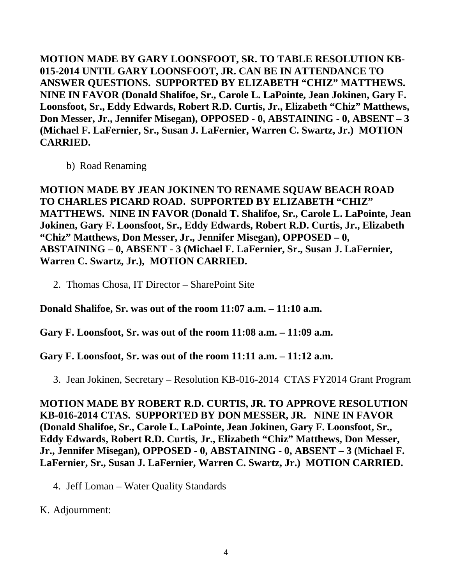**MOTION MADE BY GARY LOONSFOOT, SR. TO TABLE RESOLUTION KB-015-2014 UNTIL GARY LOONSFOOT, JR. CAN BE IN ATTENDANCE TO ANSWER QUESTIONS. SUPPORTED BY ELIZABETH "CHIZ" MATTHEWS. NINE IN FAVOR (Donald Shalifoe, Sr., Carole L. LaPointe, Jean Jokinen, Gary F. Loonsfoot, Sr., Eddy Edwards, Robert R.D. Curtis, Jr., Elizabeth "Chiz" Matthews, Don Messer, Jr., Jennifer Misegan), OPPOSED - 0, ABSTAINING - 0, ABSENT – 3 (Michael F. LaFernier, Sr., Susan J. LaFernier, Warren C. Swartz, Jr.) MOTION CARRIED.**

b) Road Renaming

**MOTION MADE BY JEAN JOKINEN TO RENAME SQUAW BEACH ROAD TO CHARLES PICARD ROAD. SUPPORTED BY ELIZABETH "CHIZ" MATTHEWS. NINE IN FAVOR (Donald T. Shalifoe, Sr., Carole L. LaPointe, Jean Jokinen, Gary F. Loonsfoot, Sr., Eddy Edwards, Robert R.D. Curtis, Jr., Elizabeth "Chiz" Matthews, Don Messer, Jr., Jennifer Misegan), OPPOSED – 0, ABSTAINING – 0, ABSENT - 3 (Michael F. LaFernier, Sr., Susan J. LaFernier, Warren C. Swartz, Jr.), MOTION CARRIED.**

2. Thomas Chosa, IT Director – SharePoint Site

**Donald Shalifoe, Sr. was out of the room 11:07 a.m. – 11:10 a.m.**

**Gary F. Loonsfoot, Sr. was out of the room 11:08 a.m. – 11:09 a.m.**

**Gary F. Loonsfoot, Sr. was out of the room 11:11 a.m. – 11:12 a.m.**

3. Jean Jokinen, Secretary – Resolution KB-016-2014 CTAS FY2014 Grant Program

**MOTION MADE BY ROBERT R.D. CURTIS, JR. TO APPROVE RESOLUTION KB-016-2014 CTAS. SUPPORTED BY DON MESSER, JR. NINE IN FAVOR (Donald Shalifoe, Sr., Carole L. LaPointe, Jean Jokinen, Gary F. Loonsfoot, Sr., Eddy Edwards, Robert R.D. Curtis, Jr., Elizabeth "Chiz" Matthews, Don Messer, Jr., Jennifer Misegan), OPPOSED - 0, ABSTAINING - 0, ABSENT – 3 (Michael F. LaFernier, Sr., Susan J. LaFernier, Warren C. Swartz, Jr.) MOTION CARRIED.**

4. Jeff Loman – Water Quality Standards

K. Adjournment: